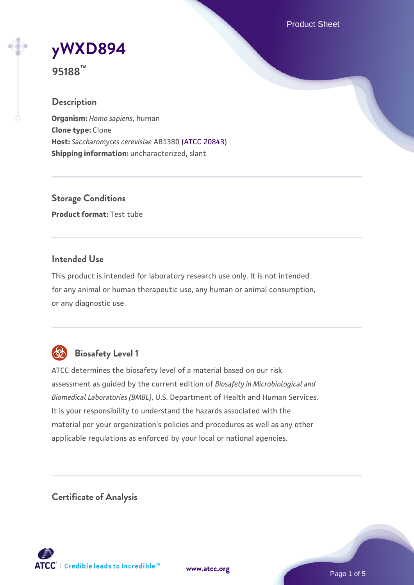Product Sheet

# **[yWXD894](https://www.atcc.org/products/95188)**

**95188™**

## **Description**

**Organism:** *Homo sapiens*, human **Clone type:** Clone **Host:** *Saccharomyces cerevisiae* AB1380 [\(ATCC 20843\)](https://www.atcc.org/products/20843) **Shipping information:** uncharacterized, slant

**Storage Conditions Product format:** Test tube

#### **Intended Use**

This product is intended for laboratory research use only. It is not intended for any animal or human therapeutic use, any human or animal consumption, or any diagnostic use.



## **Biosafety Level 1**

ATCC determines the biosafety level of a material based on our risk assessment as guided by the current edition of *Biosafety in Microbiological and Biomedical Laboratories (BMBL)*, U.S. Department of Health and Human Services. It is your responsibility to understand the hazards associated with the material per your organization's policies and procedures as well as any other applicable regulations as enforced by your local or national agencies.

**Certificate of Analysis**

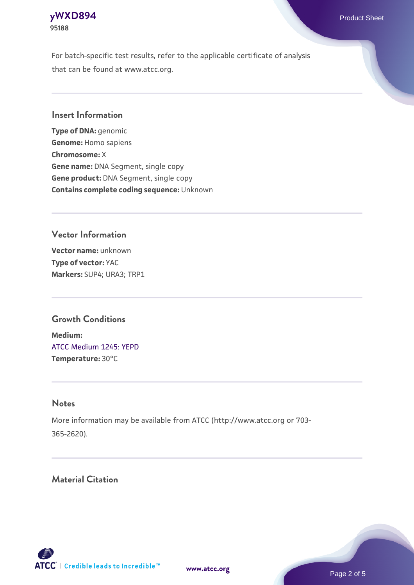

For batch-specific test results, refer to the applicable certificate of analysis that can be found at www.atcc.org.

#### **Insert Information**

**Type of DNA:** genomic **Genome:** Homo sapiens **Chromosome:** X **Gene name:** DNA Segment, single copy **Gene product:** DNA Segment, single copy **Contains complete coding sequence:** Unknown

## **Vector Information**

**Vector name:** unknown **Type of vector:** YAC **Markers:** SUP4; URA3; TRP1

#### **Growth Conditions**

**Medium:**  [ATCC Medium 1245: YEPD](https://www.atcc.org/-/media/product-assets/documents/microbial-media-formulations/1/2/4/5/atcc-medium-1245.pdf?rev=705ca55d1b6f490a808a965d5c072196) **Temperature:** 30°C

#### **Notes**

More information may be available from ATCC (http://www.atcc.org or 703- 365-2620).

## **Material Citation**



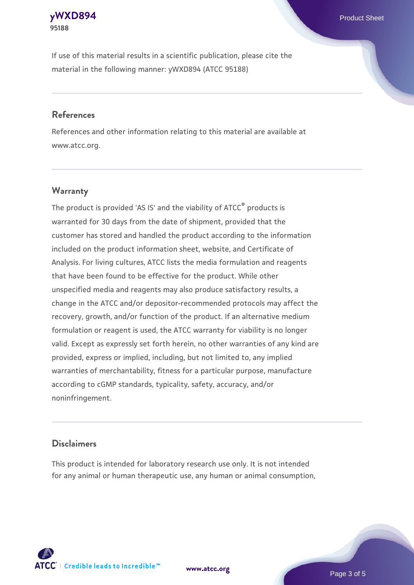#### **[yWXD894](https://www.atcc.org/products/95188)** Product Sheet **95188**

If use of this material results in a scientific publication, please cite the material in the following manner: yWXD894 (ATCC 95188)

#### **References**

References and other information relating to this material are available at www.atcc.org.

## **Warranty**

The product is provided 'AS IS' and the viability of  $ATCC<sup>®</sup>$  products is warranted for 30 days from the date of shipment, provided that the customer has stored and handled the product according to the information included on the product information sheet, website, and Certificate of Analysis. For living cultures, ATCC lists the media formulation and reagents that have been found to be effective for the product. While other unspecified media and reagents may also produce satisfactory results, a change in the ATCC and/or depositor-recommended protocols may affect the recovery, growth, and/or function of the product. If an alternative medium formulation or reagent is used, the ATCC warranty for viability is no longer valid. Except as expressly set forth herein, no other warranties of any kind are provided, express or implied, including, but not limited to, any implied warranties of merchantability, fitness for a particular purpose, manufacture according to cGMP standards, typicality, safety, accuracy, and/or noninfringement.

## **Disclaimers**

This product is intended for laboratory research use only. It is not intended for any animal or human therapeutic use, any human or animal consumption,

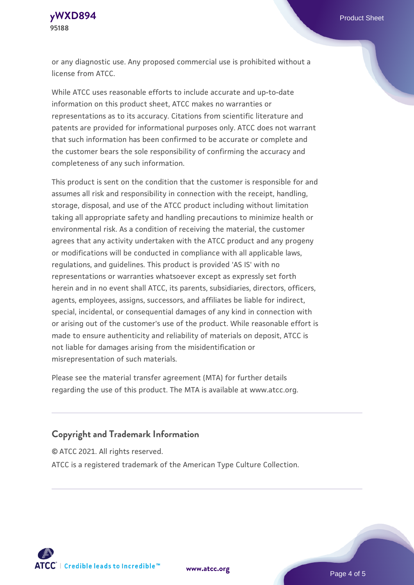**[yWXD894](https://www.atcc.org/products/95188)** Product Sheet **95188**

or any diagnostic use. Any proposed commercial use is prohibited without a license from ATCC.

While ATCC uses reasonable efforts to include accurate and up-to-date information on this product sheet, ATCC makes no warranties or representations as to its accuracy. Citations from scientific literature and patents are provided for informational purposes only. ATCC does not warrant that such information has been confirmed to be accurate or complete and the customer bears the sole responsibility of confirming the accuracy and completeness of any such information.

This product is sent on the condition that the customer is responsible for and assumes all risk and responsibility in connection with the receipt, handling, storage, disposal, and use of the ATCC product including without limitation taking all appropriate safety and handling precautions to minimize health or environmental risk. As a condition of receiving the material, the customer agrees that any activity undertaken with the ATCC product and any progeny or modifications will be conducted in compliance with all applicable laws, regulations, and guidelines. This product is provided 'AS IS' with no representations or warranties whatsoever except as expressly set forth herein and in no event shall ATCC, its parents, subsidiaries, directors, officers, agents, employees, assigns, successors, and affiliates be liable for indirect, special, incidental, or consequential damages of any kind in connection with or arising out of the customer's use of the product. While reasonable effort is made to ensure authenticity and reliability of materials on deposit, ATCC is not liable for damages arising from the misidentification or misrepresentation of such materials.

Please see the material transfer agreement (MTA) for further details regarding the use of this product. The MTA is available at www.atcc.org.

#### **Copyright and Trademark Information**

© ATCC 2021. All rights reserved.

ATCC is a registered trademark of the American Type Culture Collection.



**[www.atcc.org](http://www.atcc.org)**